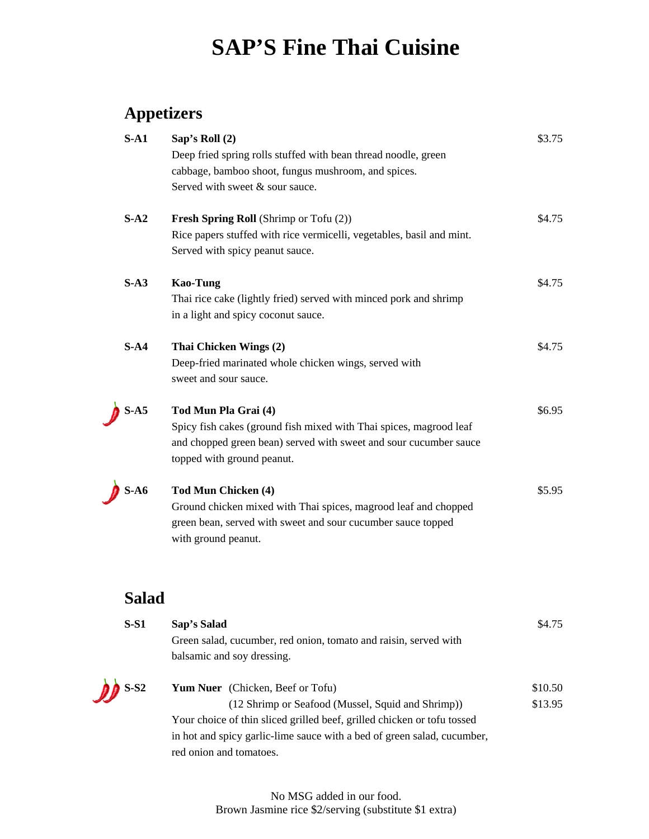# **SAP'S Fine Thai Cuisine**

# **Appetizers**

| Sap's Roll $(2)$<br>Deep fried spring rolls stuffed with bean thread noodle, green                                                                                                            | \$3.75                                              |
|-----------------------------------------------------------------------------------------------------------------------------------------------------------------------------------------------|-----------------------------------------------------|
| Served with sweet & sour sauce.                                                                                                                                                               |                                                     |
| <b>Fresh Spring Roll</b> (Shrimp or Tofu (2))<br>Rice papers stuffed with rice vermicelli, vegetables, basil and mint.<br>Served with spicy peanut sauce.                                     | \$4.75                                              |
| <b>Kao-Tung</b><br>Thai rice cake (lightly fried) served with minced pork and shrimp<br>in a light and spicy coconut sauce.                                                                   | \$4.75                                              |
| Thai Chicken Wings (2)<br>Deep-fried marinated whole chicken wings, served with<br>sweet and sour sauce.                                                                                      | \$4.75                                              |
| Tod Mun Pla Grai (4)<br>Spicy fish cakes (ground fish mixed with Thai spices, magrood leaf<br>and chopped green bean) served with sweet and sour cucumber sauce<br>topped with ground peanut. | \$6.95                                              |
| Tod Mun Chicken (4)<br>Ground chicken mixed with Thai spices, magrood leaf and chopped<br>green bean, served with sweet and sour cucumber sauce topped<br>with ground peanut.                 | \$5.95                                              |
|                                                                                                                                                                                               | cabbage, bamboo shoot, fungus mushroom, and spices. |

# **Salad**

| $S-S1$                         | Sap's Salad                                                             | \$4.75  |
|--------------------------------|-------------------------------------------------------------------------|---------|
|                                | Green salad, cucumber, red onion, tomato and raisin, served with        |         |
|                                | balsamic and soy dressing.                                              |         |
| $\mathcal{D}$ S-S <sub>2</sub> | <b>Yum Nuer</b> (Chicken, Beef or Tofu)                                 | \$10.50 |
|                                | (12 Shrimp or Seafood (Mussel, Squid and Shrimp))                       | \$13.95 |
|                                | Your choice of thin sliced grilled beef, grilled chicken or tofu tossed |         |
|                                | in hot and spicy garlic-lime sauce with a bed of green salad, cucumber, |         |
|                                | red onion and tomatoes.                                                 |         |

No MSG added in our food. Brown Jasmine rice \$2/serving (substitute \$1 extra)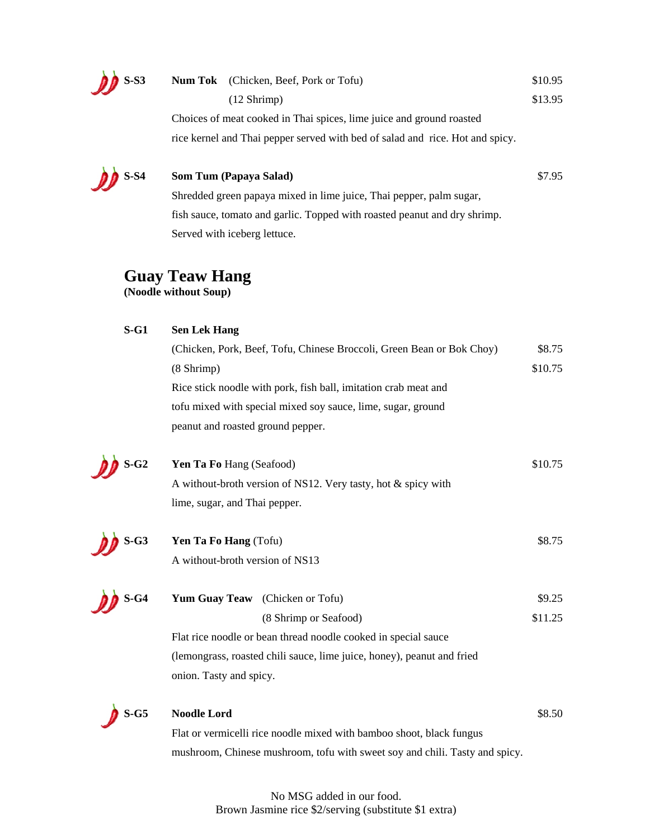

| S-S3 | <b>Num Tok</b> (Chicken, Beef, Pork or Tofu)                                  | \$10.95 |
|------|-------------------------------------------------------------------------------|---------|
|      | (12 Shrimp)                                                                   | \$13.95 |
|      | Choices of meat cooked in Thai spices, lime juice and ground roasted          |         |
|      | rice kernel and Thai pepper served with bed of salad and rice. Hot and spicy. |         |

### **S-S4 Som Tum (Papaya Salad)** \$7.95

 Shredded green papaya mixed in lime juice, Thai pepper, palm sugar, fish sauce, tomato and garlic. Topped with roasted peanut and dry shrimp. Served with iceberg lettuce.

## **Guay Teaw Hang**

**(Noodle without Soup)** 

# **S-G1 Sen Lek Hang** (Chicken, Pork, Beef, Tofu, Chinese Broccoli, Green Bean or Bok Choy) \$8.75  $(8 \text{ Shrimp})$  \$10.75 Rice stick noodle with pork, fish ball, imitation crab meat and tofu mixed with special mixed soy sauce, lime, sugar, ground peanut and roasted ground pepper.

**S-G2** Yen Ta Fo Hang (Seafood) \$10.75 A without-broth version of NS12. Very tasty, hot & spicy with lime, sugar, and Thai pepper.



**S-G3** Yen Ta Fo Hang (Tofu) \$8.75 A without-broth version of NS13



**S-G4** Yum Guay Teaw (Chicken or Tofu) \$9.25 (8 Shrimp or Seafood) \$11.25 Flat rice noodle or bean thread noodle cooked in special sauce (lemongrass, roasted chili sauce, lime juice, honey), peanut and fried

onion. Tasty and spicy.



#### **S-G5** Noodle Lord \$8.50

 Flat or vermicelli rice noodle mixed with bamboo shoot, black fungus mushroom, Chinese mushroom, tofu with sweet soy and chili. Tasty and spicy.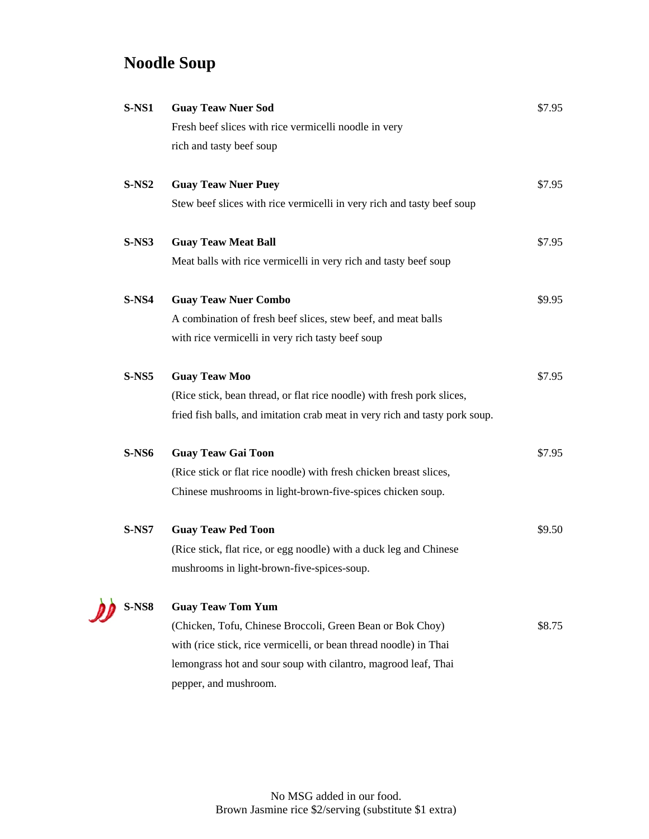# **Noodle Soup**

| $S-NS1$      | <b>Guay Teaw Nuer Sod</b>                                                   | \$7.95 |
|--------------|-----------------------------------------------------------------------------|--------|
|              | Fresh beef slices with rice vermicelli noodle in very                       |        |
|              | rich and tasty beef soup                                                    |        |
| $S-NS2$      | <b>Guay Teaw Nuer Puey</b>                                                  | \$7.95 |
|              | Stew beef slices with rice vermicelli in very rich and tasty beef soup      |        |
| S-NS3        | <b>Guay Teaw Meat Ball</b>                                                  | \$7.95 |
|              | Meat balls with rice vermicelli in very rich and tasty beef soup            |        |
| <b>S-NS4</b> | <b>Guay Teaw Nuer Combo</b>                                                 | \$9.95 |
|              | A combination of fresh beef slices, stew beef, and meat balls               |        |
|              | with rice vermicelli in very rich tasty beef soup                           |        |
| $S-NS5$      | <b>Guay Teaw Moo</b>                                                        | \$7.95 |
|              | (Rice stick, bean thread, or flat rice noodle) with fresh pork slices,      |        |
|              | fried fish balls, and imitation crab meat in very rich and tasty pork soup. |        |
| S-NS6        | <b>Guay Teaw Gai Toon</b>                                                   | \$7.95 |
|              | (Rice stick or flat rice noodle) with fresh chicken breast slices,          |        |
|              | Chinese mushrooms in light-brown-five-spices chicken soup.                  |        |
| <b>S-NS7</b> | <b>Guay Teaw Ped Toon</b>                                                   | \$9.50 |
|              | (Rice stick, flat rice, or egg noodle) with a duck leg and Chinese          |        |
|              | mushrooms in light-brown-five-spices-soup.                                  |        |
| <b>S-NS8</b> | <b>Guay Teaw Tom Yum</b>                                                    |        |
|              | (Chicken, Tofu, Chinese Broccoli, Green Bean or Bok Choy)                   | \$8.75 |
|              | with (rice stick, rice vermicelli, or bean thread noodle) in Thai           |        |
|              | lemongrass hot and sour soup with cilantro, magrood leaf, Thai              |        |
|              | pepper, and mushroom.                                                       |        |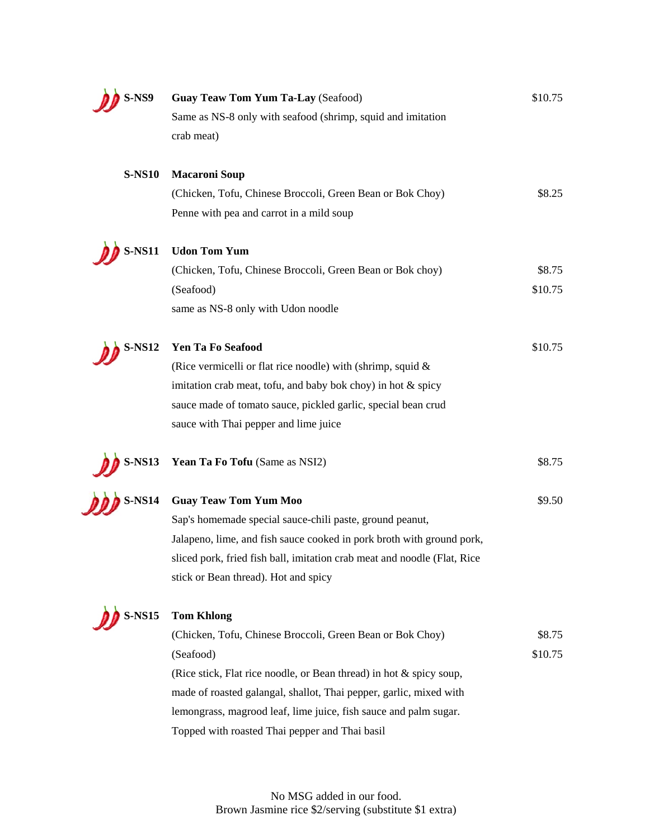| S-NS9         | Guay Teaw Tom Yum Ta-Lay (Seafood)                                       | \$10.75 |
|---------------|--------------------------------------------------------------------------|---------|
|               | Same as NS-8 only with seafood (shrimp, squid and imitation              |         |
|               | crab meat)                                                               |         |
| <b>S-NS10</b> | <b>Macaroni Soup</b>                                                     |         |
|               | (Chicken, Tofu, Chinese Broccoli, Green Bean or Bok Choy)                | \$8.25  |
|               | Penne with pea and carrot in a mild soup                                 |         |
| <b>S-NS11</b> | <b>Udon Tom Yum</b>                                                      |         |
|               | (Chicken, Tofu, Chinese Broccoli, Green Bean or Bok choy)                | \$8.75  |
|               | (Seafood)                                                                | \$10.75 |
|               | same as NS-8 only with Udon noodle                                       |         |
| <b>S-NS12</b> | Yen Ta Fo Seafood                                                        | \$10.75 |
|               | (Rice vermicelli or flat rice noodle) with (shrimp, squid $\&$           |         |
|               | imitation crab meat, tofu, and baby bok choy) in hot & spicy             |         |
|               | sauce made of tomato sauce, pickled garlic, special bean crud            |         |
|               | sauce with Thai pepper and lime juice                                    |         |
| <b>S-NS13</b> | Yean Ta Fo Tofu (Same as NSI2)                                           | \$8.75  |
| <b>S-NS14</b> | <b>Guay Teaw Tom Yum Moo</b>                                             | \$9.50  |
|               | Sap's homemade special sauce-chili paste, ground peanut,                 |         |
|               | Jalapeno, lime, and fish sauce cooked in pork broth with ground pork,    |         |
|               | sliced pork, fried fish ball, imitation crab meat and noodle (Flat, Rice |         |
|               | stick or Bean thread). Hot and spicy                                     |         |
| <b>S-NS15</b> | <b>Tom Khlong</b>                                                        |         |
|               | (Chicken, Tofu, Chinese Broccoli, Green Bean or Bok Choy)                | \$8.75  |
|               | (Seafood)                                                                | \$10.75 |
|               | (Rice stick, Flat rice noodle, or Bean thread) in hot & spicy soup,      |         |
|               | made of roasted galangal, shallot, Thai pepper, garlic, mixed with       |         |
|               | lemongrass, magrood leaf, lime juice, fish sauce and palm sugar.         |         |
|               | Topped with roasted Thai pepper and Thai basil                           |         |
|               |                                                                          |         |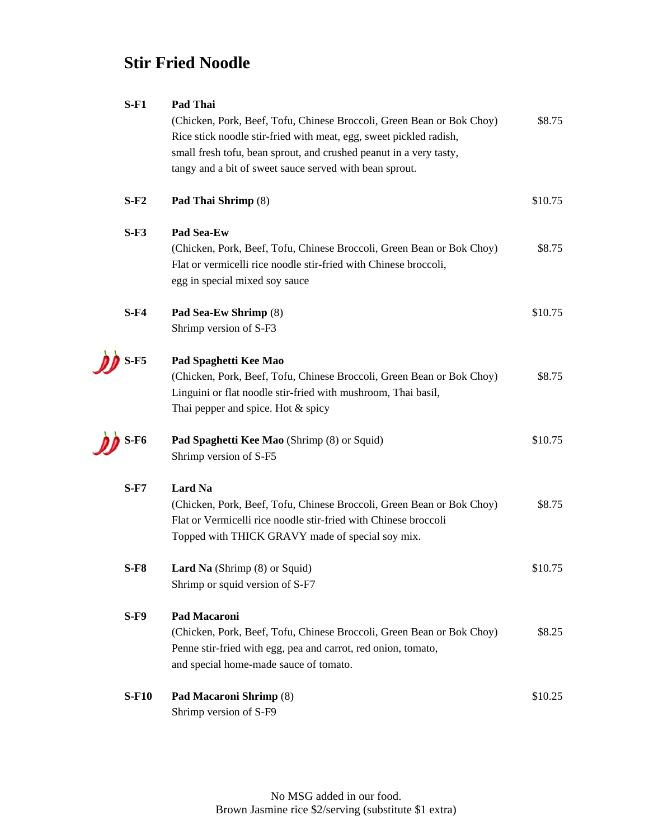# **Stir Fried Noodle**

| $S$ -F1             | Pad Thai                                                              |         |
|---------------------|-----------------------------------------------------------------------|---------|
|                     | (Chicken, Pork, Beef, Tofu, Chinese Broccoli, Green Bean or Bok Choy) | \$8.75  |
|                     | Rice stick noodle stir-fried with meat, egg, sweet pickled radish,    |         |
|                     | small fresh tofu, bean sprout, and crushed peanut in a very tasty,    |         |
|                     | tangy and a bit of sweet sauce served with bean sprout.               |         |
| $S-F2$              | Pad Thai Shrimp (8)                                                   | \$10.75 |
|                     |                                                                       |         |
| $S-F3$              | Pad Sea-Ew                                                            |         |
|                     | (Chicken, Pork, Beef, Tofu, Chinese Broccoli, Green Bean or Bok Choy) | \$8.75  |
|                     | Flat or vermicelli rice noodle stir-fried with Chinese broccoli,      |         |
|                     | egg in special mixed soy sauce                                        |         |
| $S$ -F4             | Pad Sea-Ew Shrimp (8)                                                 | \$10.75 |
|                     | Shrimp version of S-F3                                                |         |
|                     |                                                                       |         |
| $S$ -F <sub>5</sub> | Pad Spaghetti Kee Mao                                                 |         |
|                     | (Chicken, Pork, Beef, Tofu, Chinese Broccoli, Green Bean or Bok Choy) | \$8.75  |
|                     | Linguini or flat noodle stir-fried with mushroom, Thai basil,         |         |
|                     | Thai pepper and spice. Hot & spicy                                    |         |
| $S-F6$              | Pad Spaghetti Kee Mao (Shrimp (8) or Squid)                           | \$10.75 |
|                     | Shrimp version of S-F5                                                |         |
| $S$ -F7             | Lard Na                                                               |         |
|                     | (Chicken, Pork, Beef, Tofu, Chinese Broccoli, Green Bean or Bok Choy) | \$8.75  |
|                     | Flat or Vermicelli rice noodle stir-fried with Chinese broccoli       |         |
|                     | Topped with THICK GRAVY made of special soy mix.                      |         |
| $S$ -F $8$          | Lard Na (Shrimp (8) or Squid)                                         | \$10.75 |
|                     | Shrimp or squid version of S-F7                                       |         |
| $S-F9$              | <b>Pad Macaroni</b>                                                   |         |
|                     | (Chicken, Pork, Beef, Tofu, Chinese Broccoli, Green Bean or Bok Choy) | \$8.25  |
|                     |                                                                       |         |
|                     | Penne stir-fried with egg, pea and carrot, red onion, tomato,         |         |
|                     | and special home-made sauce of tomato.                                |         |
| <b>S-F10</b>        | Pad Macaroni Shrimp (8)                                               | \$10.25 |
|                     | Shrimp version of S-F9                                                |         |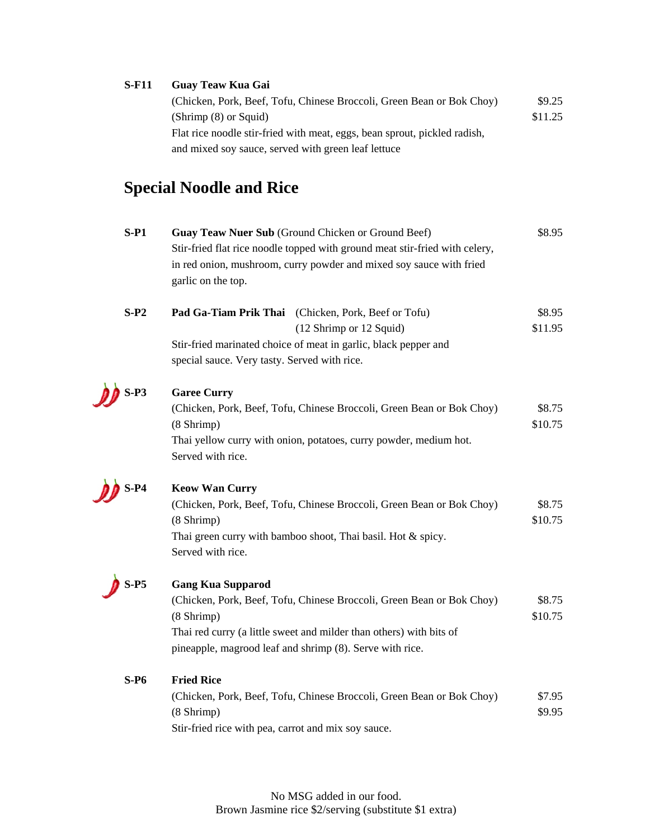## **S-F11 Guay Teaw Kua Gai**

| (Chicken, Pork, Beef, Tofu, Chinese Broccoli, Green Bean or Bok Choy)     | \$9.25  |
|---------------------------------------------------------------------------|---------|
| $(Shrimp(8)$ or Squid)                                                    | \$11.25 |
| Flat rice noodle stir-fried with meat, eggs, bean sprout, pickled radish, |         |
| and mixed soy sauce, served with green leaf lettuce                       |         |

# **Special Noodle and Rice**

| $S-P1$ | Guay Teaw Nuer Sub (Ground Chicken or Ground Beef)                          | \$8.95  |
|--------|-----------------------------------------------------------------------------|---------|
|        | Stir-fried flat rice noodle topped with ground meat stir-fried with celery, |         |
|        | in red onion, mushroom, curry powder and mixed soy sauce with fried         |         |
|        | garlic on the top.                                                          |         |
|        |                                                                             |         |
| $S-P2$ | Pad Ga-Tiam Prik Thai (Chicken, Pork, Beef or Tofu)                         | \$8.95  |
|        | (12 Shrimp or 12 Squid)                                                     | \$11.95 |
|        | Stir-fried marinated choice of meat in garlic, black pepper and             |         |
|        | special sauce. Very tasty. Served with rice.                                |         |
| $S-P3$ | <b>Garee Curry</b>                                                          |         |
|        | (Chicken, Pork, Beef, Tofu, Chinese Broccoli, Green Bean or Bok Choy)       | \$8.75  |
|        | $(8 \text{Shrimp})$                                                         | \$10.75 |
|        | Thai yellow curry with onion, potatoes, curry powder, medium hot.           |         |
|        | Served with rice.                                                           |         |
| $S-P4$ | <b>Keow Wan Curry</b>                                                       |         |
|        | (Chicken, Pork, Beef, Tofu, Chinese Broccoli, Green Bean or Bok Choy)       | \$8.75  |
|        | $(8 \text{Shrimp})$                                                         | \$10.75 |
|        | Thai green curry with bamboo shoot, Thai basil. Hot & spicy.                |         |
|        | Served with rice.                                                           |         |
| $S-PS$ | <b>Gang Kua Supparod</b>                                                    |         |
|        | (Chicken, Pork, Beef, Tofu, Chinese Broccoli, Green Bean or Bok Choy)       | \$8.75  |
|        | $(8 \nShrimp)$                                                              | \$10.75 |
|        | Thai red curry (a little sweet and milder than others) with bits of         |         |
|        | pineapple, magrood leaf and shrimp (8). Serve with rice.                    |         |
|        |                                                                             |         |
| $S-P6$ | <b>Fried Rice</b>                                                           |         |
|        | (Chicken, Pork, Beef, Tofu, Chinese Broccoli, Green Bean or Bok Choy)       | \$7.95  |
|        | $(8 \nShrimp)$                                                              | \$9.95  |
|        | Stir-fried rice with pea, carrot and mix soy sauce.                         |         |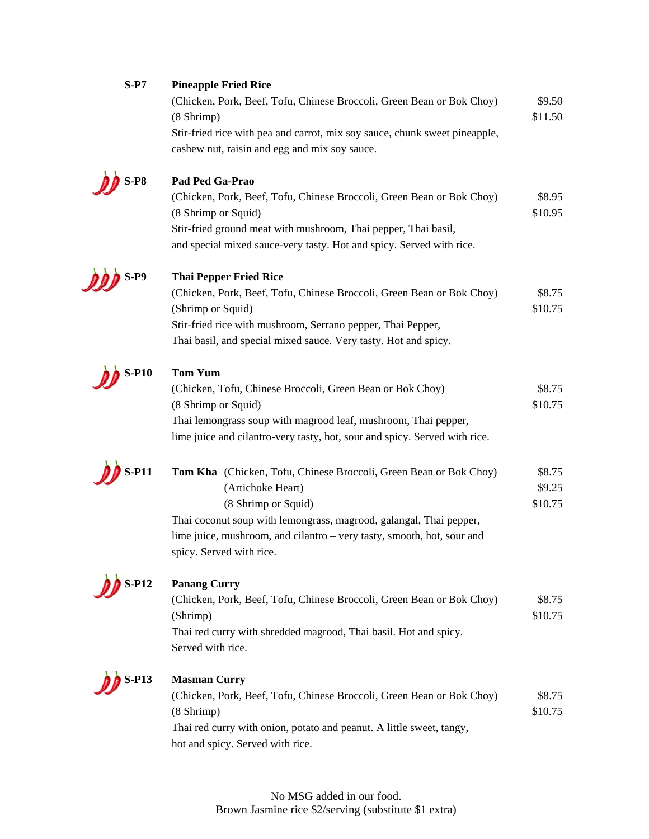| $S-P7$       | <b>Pineapple Fried Rice</b>                                                                  |         |
|--------------|----------------------------------------------------------------------------------------------|---------|
|              | (Chicken, Pork, Beef, Tofu, Chinese Broccoli, Green Bean or Bok Choy)                        | \$9.50  |
|              | $(8 \text{ Shrimp})$                                                                         | \$11.50 |
|              | Stir-fried rice with pea and carrot, mix soy sauce, chunk sweet pineapple,                   |         |
|              | cashew nut, raisin and egg and mix soy sauce.                                                |         |
| $S-PS$       | Pad Ped Ga-Prao                                                                              |         |
|              |                                                                                              | \$8.95  |
|              | (Chicken, Pork, Beef, Tofu, Chinese Broccoli, Green Bean or Bok Choy)<br>(8 Shrimp or Squid) | \$10.95 |
|              | Stir-fried ground meat with mushroom, Thai pepper, Thai basil,                               |         |
|              |                                                                                              |         |
|              | and special mixed sauce-very tasty. Hot and spicy. Served with rice.                         |         |
| <b>S-P9</b>  | <b>Thai Pepper Fried Rice</b>                                                                |         |
|              | (Chicken, Pork, Beef, Tofu, Chinese Broccoli, Green Bean or Bok Choy)                        | \$8.75  |
|              | (Shrimp or Squid)                                                                            | \$10.75 |
|              | Stir-fried rice with mushroom, Serrano pepper, Thai Pepper,                                  |         |
|              | Thai basil, and special mixed sauce. Very tasty. Hot and spicy.                              |         |
| <b>S-P10</b> | <b>Tom Yum</b>                                                                               |         |
|              |                                                                                              | \$8.75  |
|              | (Chicken, Tofu, Chinese Broccoli, Green Bean or Bok Choy)                                    | \$10.75 |
|              | (8 Shrimp or Squid)                                                                          |         |
|              | Thai lemongrass soup with magrood leaf, mushroom, Thai pepper,                               |         |
|              | lime juice and cilantro-very tasty, hot, sour and spicy. Served with rice.                   |         |
| <b>S-P11</b> | Tom Kha (Chicken, Tofu, Chinese Broccoli, Green Bean or Bok Choy)                            | \$8.75  |
|              | (Artichoke Heart)                                                                            | \$9.25  |
|              | (8 Shrimp or Squid)                                                                          | \$10.75 |
|              | Thai coconut soup with lemongrass, magrood, galangal, Thai pepper,                           |         |
|              | lime juice, mushroom, and cilantro – very tasty, smooth, hot, sour and                       |         |
|              | spicy. Served with rice.                                                                     |         |
|              |                                                                                              |         |
| $S-P12$      | <b>Panang Curry</b>                                                                          |         |
|              | (Chicken, Pork, Beef, Tofu, Chinese Broccoli, Green Bean or Bok Choy)                        | \$8.75  |
|              | (Shrimp)                                                                                     | \$10.75 |
|              | Thai red curry with shredded magrood, Thai basil. Hot and spicy.                             |         |
|              | Served with rice.                                                                            |         |
| $S- P13$     | <b>Masman Curry</b>                                                                          |         |
|              | (Chicken, Pork, Beef, Tofu, Chinese Broccoli, Green Bean or Bok Choy)                        | \$8.75  |
|              | $(8 \text{Shrimp})$                                                                          | \$10.75 |
|              | Thai red curry with onion, potato and peanut. A little sweet, tangy,                         |         |
|              | hot and spicy. Served with rice.                                                             |         |
|              |                                                                                              |         |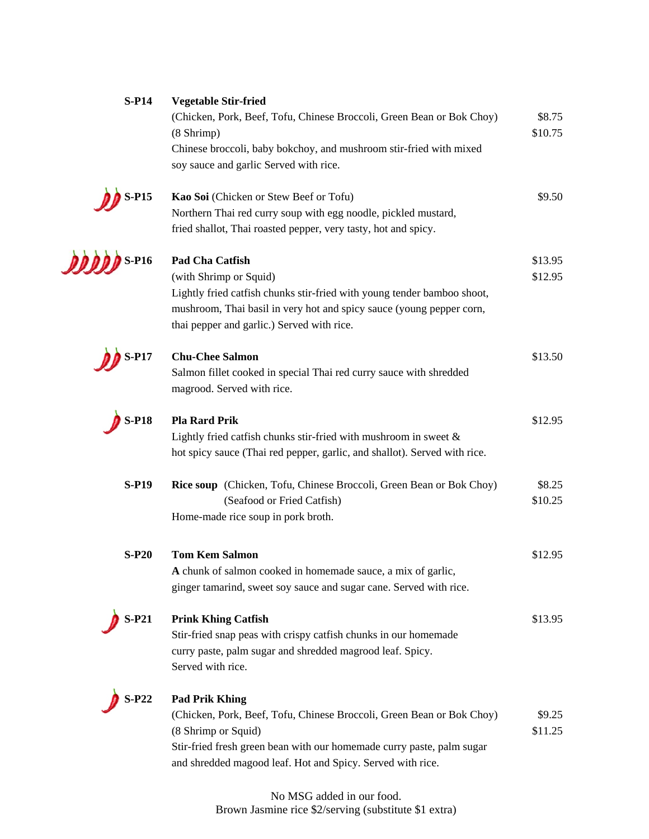| <b>S-P14</b>              | <b>Vegetable Stir-fried</b><br>(Chicken, Pork, Beef, Tofu, Chinese Broccoli, Green Bean or Bok Choy)<br>$(8 \text{ Shrimp})$<br>Chinese broccoli, baby bokchoy, and mushroom stir-fried with mixed<br>soy sauce and garlic Served with rice.                 | \$8.75<br>\$10.75  |
|---------------------------|--------------------------------------------------------------------------------------------------------------------------------------------------------------------------------------------------------------------------------------------------------------|--------------------|
| $S-PI5$                   | Kao Soi (Chicken or Stew Beef or Tofu)<br>Northern Thai red curry soup with egg noodle, pickled mustard,<br>fried shallot, Thai roasted pepper, very tasty, hot and spicy.                                                                                   | \$9.50             |
| $\overline{\text{S-P16}}$ | Pad Cha Catfish<br>(with Shrimp or Squid)<br>Lightly fried catfish chunks stir-fried with young tender bamboo shoot,<br>mushroom, Thai basil in very hot and spicy sauce (young pepper corn,<br>thai pepper and garlic.) Served with rice.                   | \$13.95<br>\$12.95 |
| P17-                      | <b>Chu-Chee Salmon</b><br>Salmon fillet cooked in special Thai red curry sauce with shredded<br>magrood. Served with rice.                                                                                                                                   | \$13.50            |
| <b>S-P18</b>              | <b>Pla Rard Prik</b><br>Lightly fried catfish chunks stir-fried with mushroom in sweet $\&$<br>hot spicy sauce (Thai red pepper, garlic, and shallot). Served with rice.                                                                                     | \$12.95            |
| <b>S-P19</b>              | Rice soup (Chicken, Tofu, Chinese Broccoli, Green Bean or Bok Choy)<br>(Seafood or Fried Catfish)<br>Home-made rice soup in pork broth.                                                                                                                      | \$8.25<br>\$10.25  |
| $S-P20$                   | <b>Tom Kem Salmon</b><br>A chunk of salmon cooked in homemade sauce, a mix of garlic,<br>ginger tamarind, sweet soy sauce and sugar cane. Served with rice.                                                                                                  | \$12.95            |
| S-P21                     | <b>Prink Khing Catfish</b><br>Stir-fried snap peas with crispy catfish chunks in our homemade<br>curry paste, palm sugar and shredded magrood leaf. Spicy.<br>Served with rice.                                                                              | \$13.95            |
| $S-P22$                   | <b>Pad Prik Khing</b><br>(Chicken, Pork, Beef, Tofu, Chinese Broccoli, Green Bean or Bok Choy)<br>(8 Shrimp or Squid)<br>Stir-fried fresh green bean with our homemade curry paste, palm sugar<br>and shredded magood leaf. Hot and Spicy. Served with rice. | \$9.25<br>\$11.25  |

No MSG added in our food. Brown Jasmine rice \$2/serving (substitute \$1 extra)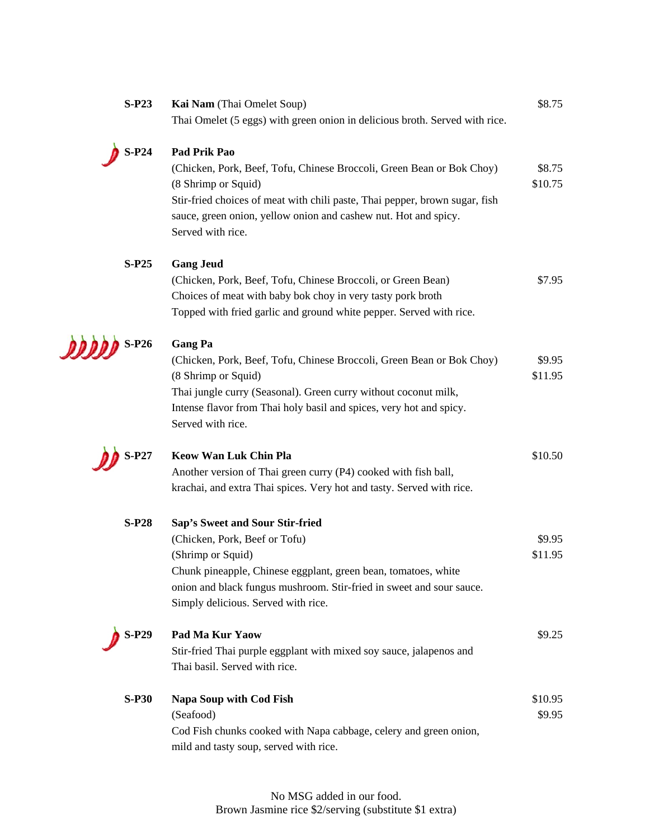| $S-P23$      | Kai Nam (Thai Omelet Soup)                                                               | \$8.75  |
|--------------|------------------------------------------------------------------------------------------|---------|
|              | Thai Omelet (5 eggs) with green onion in delicious broth. Served with rice.              |         |
| $S-P24$      | Pad Prik Pao                                                                             |         |
|              | (Chicken, Pork, Beef, Tofu, Chinese Broccoli, Green Bean or Bok Choy)                    | \$8.75  |
|              | (8 Shrimp or Squid)                                                                      | \$10.75 |
|              | Stir-fried choices of meat with chili paste, Thai pepper, brown sugar, fish              |         |
|              | sauce, green onion, yellow onion and cashew nut. Hot and spicy.<br>Served with rice.     |         |
| $S-P25$      | <b>Gang Jeud</b>                                                                         |         |
|              | (Chicken, Pork, Beef, Tofu, Chinese Broccoli, or Green Bean)                             | \$7.95  |
|              | Choices of meat with baby bok choy in very tasty pork broth                              |         |
|              | Topped with fried garlic and ground white pepper. Served with rice.                      |         |
| $000$ S-P26  | <b>Gang Pa</b>                                                                           |         |
|              | (Chicken, Pork, Beef, Tofu, Chinese Broccoli, Green Bean or Bok Choy)                    | \$9.95  |
|              | (8 Shrimp or Squid)                                                                      | \$11.95 |
|              | Thai jungle curry (Seasonal). Green curry without coconut milk,                          |         |
|              | Intense flavor from Thai holy basil and spices, very hot and spicy.<br>Served with rice. |         |
| $S-P27$      | <b>Keow Wan Luk Chin Pla</b>                                                             | \$10.50 |
|              | Another version of Thai green curry (P4) cooked with fish ball,                          |         |
|              | krachai, and extra Thai spices. Very hot and tasty. Served with rice.                    |         |
| <b>S-P28</b> | Sap's Sweet and Sour Stir-fried                                                          |         |
|              | (Chicken, Pork, Beef or Tofu)                                                            | \$9.95  |
|              | (Shrimp or Squid)                                                                        | \$11.95 |
|              | Chunk pineapple, Chinese eggplant, green bean, tomatoes, white                           |         |
|              | onion and black fungus mushroom. Stir-fried in sweet and sour sauce.                     |         |
|              | Simply delicious. Served with rice.                                                      |         |
| S-P29        | Pad Ma Kur Yaow                                                                          | \$9.25  |
|              | Stir-fried Thai purple eggplant with mixed soy sauce, jalapenos and                      |         |
|              | Thai basil. Served with rice.                                                            |         |
| <b>S-P30</b> | <b>Napa Soup with Cod Fish</b>                                                           | \$10.95 |
|              | (Seafood)                                                                                | \$9.95  |
|              | Cod Fish chunks cooked with Napa cabbage, celery and green onion,                        |         |
|              | mild and tasty soup, served with rice.                                                   |         |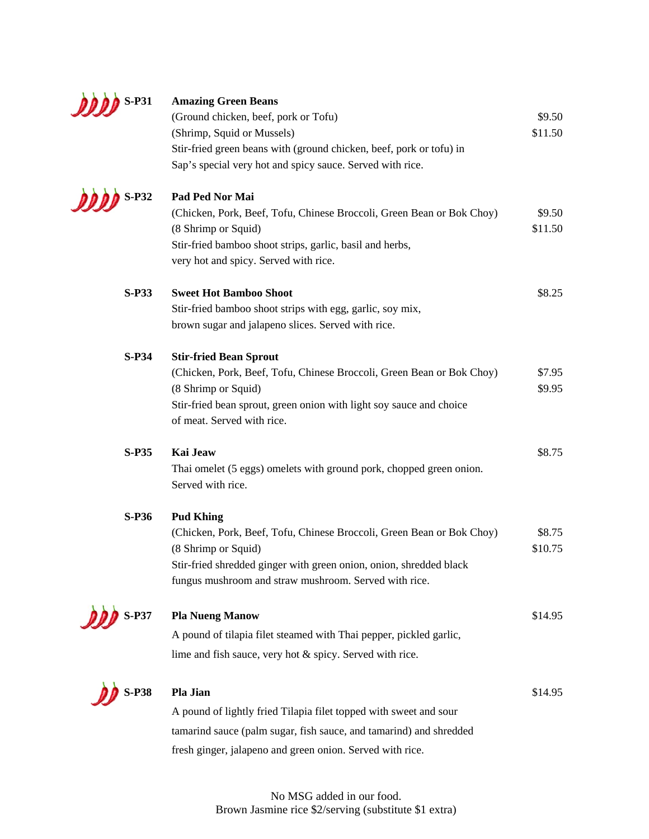

| $\bigwedge$ S-P31 | <b>Amazing Green Beans</b><br>(Ground chicken, beef, pork or Tofu)<br>(Shrimp, Squid or Mussels)<br>Stir-fried green beans with (ground chicken, beef, pork or tofu) in<br>Sap's special very hot and spicy sauce. Served with rice.            | \$9.50<br>\$11.50 |
|-------------------|-------------------------------------------------------------------------------------------------------------------------------------------------------------------------------------------------------------------------------------------------|-------------------|
| $\sum$ S-P32      | Pad Ped Nor Mai<br>(Chicken, Pork, Beef, Tofu, Chinese Broccoli, Green Bean or Bok Choy)<br>(8 Shrimp or Squid)<br>Stir-fried bamboo shoot strips, garlic, basil and herbs,<br>very hot and spicy. Served with rice.                            | \$9.50<br>\$11.50 |
| <b>S-P33</b>      | <b>Sweet Hot Bamboo Shoot</b><br>Stir-fried bamboo shoot strips with egg, garlic, soy mix,<br>brown sugar and jalapeno slices. Served with rice.                                                                                                | \$8.25            |
| $S-P34$           | <b>Stir-fried Bean Sprout</b><br>(Chicken, Pork, Beef, Tofu, Chinese Broccoli, Green Bean or Bok Choy)<br>(8 Shrimp or Squid)<br>Stir-fried bean sprout, green onion with light soy sauce and choice<br>of meat. Served with rice.              | \$7.95<br>\$9.95  |
| <b>S-P35</b>      | Kai Jeaw<br>Thai omelet (5 eggs) omelets with ground pork, chopped green onion.<br>Served with rice.                                                                                                                                            | \$8.75            |
| <b>S-P36</b>      | <b>Pud Khing</b><br>(Chicken, Pork, Beef, Tofu, Chinese Broccoli, Green Bean or Bok Choy)<br>(8 Shrimp or Squid)<br>Stir-fried shredded ginger with green onion, onion, shredded black<br>fungus mushroom and straw mushroom. Served with rice. | \$8.75<br>\$10.75 |
| <b>S-P37</b>      | <b>Pla Nueng Manow</b><br>A pound of tilapia filet steamed with Thai pepper, pickled garlic,<br>lime and fish sauce, very hot & spicy. Served with rice.                                                                                        | \$14.95           |
| $S-P38$           | Pla Jian<br>A pound of lightly fried Tilapia filet topped with sweet and sour<br>tamarind sauce (palm sugar, fish sauce, and tamarind) and shredded<br>fresh ginger, jalapeno and green onion. Served with rice.                                | \$14.95           |